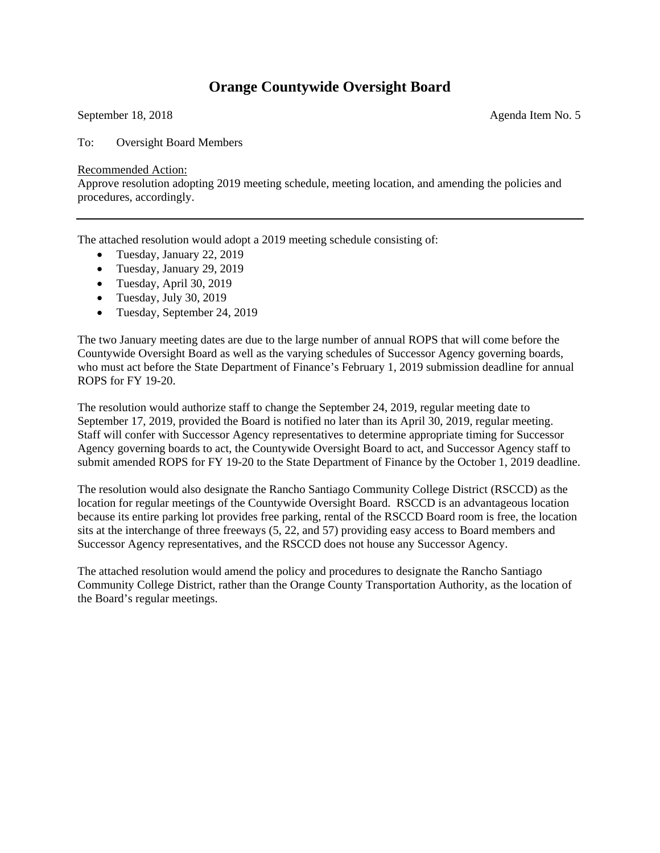## **Orange Countywide Oversight Board**

September 18, 2018 Agenda Item No. 5

To: Oversight Board Members

Recommended Action:

Approve resolution adopting 2019 meeting schedule, meeting location, and amending the policies and procedures, accordingly.

The attached resolution would adopt a 2019 meeting schedule consisting of:

- Tuesday, January 22, 2019
- Tuesday, January 29, 2019
- Tuesday, April 30, 2019
- Tuesday, July 30, 2019
- Tuesday, September 24, 2019

The two January meeting dates are due to the large number of annual ROPS that will come before the Countywide Oversight Board as well as the varying schedules of Successor Agency governing boards, who must act before the State Department of Finance's February 1, 2019 submission deadline for annual ROPS for FY 19-20.

The resolution would authorize staff to change the September 24, 2019, regular meeting date to September 17, 2019, provided the Board is notified no later than its April 30, 2019, regular meeting. Staff will confer with Successor Agency representatives to determine appropriate timing for Successor Agency governing boards to act, the Countywide Oversight Board to act, and Successor Agency staff to submit amended ROPS for FY 19-20 to the State Department of Finance by the October 1, 2019 deadline.

The resolution would also designate the Rancho Santiago Community College District (RSCCD) as the location for regular meetings of the Countywide Oversight Board. RSCCD is an advantageous location because its entire parking lot provides free parking, rental of the RSCCD Board room is free, the location sits at the interchange of three freeways (5, 22, and 57) providing easy access to Board members and Successor Agency representatives, and the RSCCD does not house any Successor Agency.

The attached resolution would amend the policy and procedures to designate the Rancho Santiago Community College District, rather than the Orange County Transportation Authority, as the location of the Board's regular meetings.